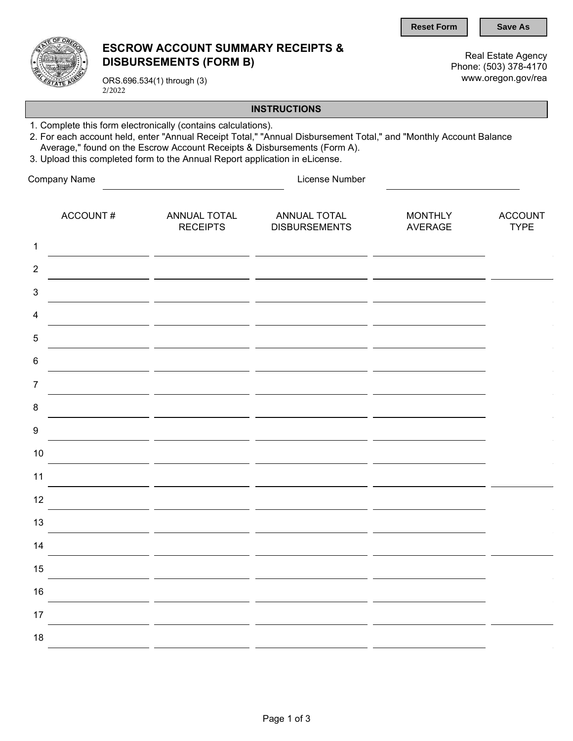**Reset Form | | Save As** 



## ESCROW ACCOUNT SUMMARY RECEIPTS & DISBURSEMENTS (FORM B)

Real Estate Agency Phone: (503) 378-4170 www.oregon.gov/rea

ORS.696.534(1) through (3) 2/2022

## **INSTRUCTIONS**

- 1. Complete this form electronically (contains calculations).
- 2. For each account held, enter "Annual Receipt Total," "Annual Disbursement Total," and "Monthly Account Balance Average," found on the Escrow Account Receipts & Disbursements (Form A).
- 3. Upload this completed form to the Annual Report application in eLicense.

| Company Name              |          | License Number                  |                                      |                                  |                               |  |  |  |
|---------------------------|----------|---------------------------------|--------------------------------------|----------------------------------|-------------------------------|--|--|--|
|                           | ACCOUNT# | ANNUAL TOTAL<br><b>RECEIPTS</b> | ANNUAL TOTAL<br><b>DISBURSEMENTS</b> | <b>MONTHLY</b><br><b>AVERAGE</b> | <b>ACCOUNT</b><br><b>TYPE</b> |  |  |  |
| $\mathbf 1$               |          |                                 |                                      |                                  |                               |  |  |  |
| $\overline{2}$            |          |                                 |                                      |                                  |                               |  |  |  |
| $\ensuremath{\mathsf{3}}$ |          |                                 |                                      |                                  |                               |  |  |  |
| $\overline{\mathbf{4}}$   |          |                                 |                                      |                                  |                               |  |  |  |
| $\sqrt{5}$                |          |                                 |                                      |                                  |                               |  |  |  |
| $\,6$                     |          |                                 |                                      |                                  |                               |  |  |  |
| $\overline{7}$            |          |                                 |                                      |                                  |                               |  |  |  |
| $\bf 8$                   |          |                                 |                                      |                                  |                               |  |  |  |
| $\boldsymbol{9}$          |          |                                 |                                      |                                  |                               |  |  |  |
| 10                        |          |                                 |                                      |                                  |                               |  |  |  |
| 11                        |          |                                 |                                      |                                  |                               |  |  |  |
| 12                        |          |                                 |                                      |                                  |                               |  |  |  |
| 13                        |          |                                 |                                      |                                  |                               |  |  |  |
| 14                        |          |                                 |                                      |                                  |                               |  |  |  |
| 15                        |          |                                 |                                      |                                  |                               |  |  |  |
| 16                        |          |                                 |                                      |                                  |                               |  |  |  |
| 17                        |          |                                 |                                      |                                  |                               |  |  |  |
| 18                        |          |                                 |                                      |                                  |                               |  |  |  |
|                           |          |                                 |                                      |                                  |                               |  |  |  |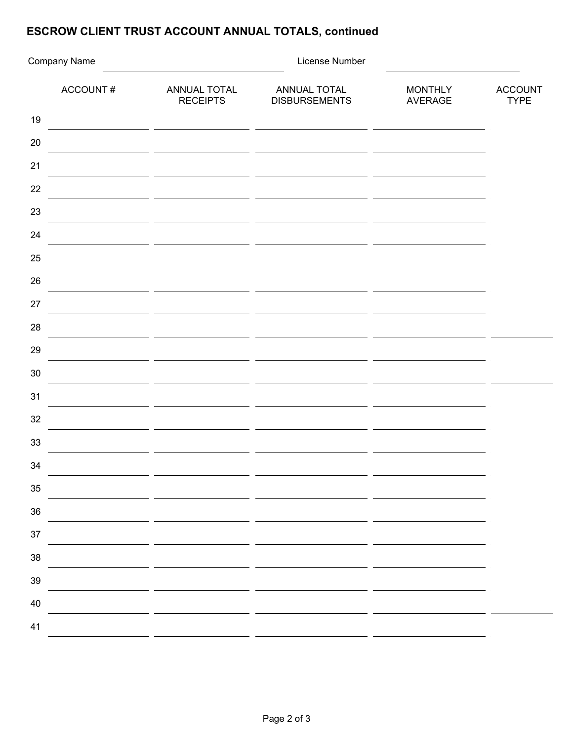## ESCROW CLIENT TRUST ACCOUNT ANNUAL TOTALS, continued

| Company Name |                                 | License Number                       |                                  |                               |  |  |
|--------------|---------------------------------|--------------------------------------|----------------------------------|-------------------------------|--|--|
| ACCOUNT#     | ANNUAL TOTAL<br><b>RECEIPTS</b> | ANNUAL TOTAL<br><b>DISBURSEMENTS</b> | <b>MONTHLY</b><br><b>AVERAGE</b> | <b>ACCOUNT</b><br><b>TYPE</b> |  |  |
| 19           |                                 |                                      |                                  |                               |  |  |
| 20           |                                 |                                      |                                  |                               |  |  |
| 21           |                                 |                                      |                                  |                               |  |  |
| 22           |                                 | $-$                                  |                                  |                               |  |  |
| 23           |                                 |                                      |                                  |                               |  |  |
| 24           |                                 |                                      |                                  |                               |  |  |
| 25           |                                 |                                      |                                  |                               |  |  |
| 26           |                                 |                                      |                                  |                               |  |  |
| 27           |                                 |                                      |                                  |                               |  |  |
| 28           |                                 |                                      |                                  |                               |  |  |
| 29           |                                 |                                      |                                  |                               |  |  |
| 30           |                                 |                                      |                                  |                               |  |  |
| 31           |                                 |                                      |                                  |                               |  |  |
| 32           |                                 |                                      |                                  |                               |  |  |
| 33           |                                 |                                      |                                  |                               |  |  |
| 34           |                                 |                                      |                                  |                               |  |  |
| $35\,$       |                                 |                                      |                                  |                               |  |  |
| $36\,$       |                                 |                                      |                                  |                               |  |  |
| $37\,$       |                                 |                                      |                                  |                               |  |  |
| $38\,$       |                                 |                                      |                                  |                               |  |  |
| $39\,$       |                                 |                                      |                                  |                               |  |  |
| $40\,$       |                                 |                                      |                                  |                               |  |  |
| 41           |                                 |                                      |                                  |                               |  |  |
|              |                                 |                                      |                                  |                               |  |  |